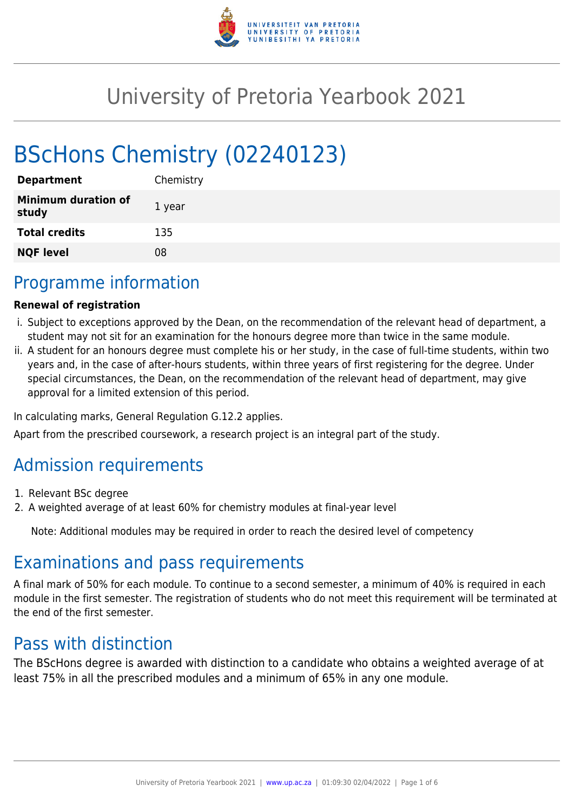

# University of Pretoria Yearbook 2021

# BScHons Chemistry (02240123)

| <b>Department</b>                   | Chemistry |
|-------------------------------------|-----------|
| <b>Minimum duration of</b><br>study | 1 year    |
| <b>Total credits</b>                | 135       |
| <b>NQF level</b>                    | 08        |

# Programme information

#### **Renewal of registration**

- i. Subject to exceptions approved by the Dean, on the recommendation of the relevant head of department, a student may not sit for an examination for the honours degree more than twice in the same module.
- ii. A student for an honours degree must complete his or her study, in the case of full-time students, within two years and, in the case of after-hours students, within three years of first registering for the degree. Under special circumstances, the Dean, on the recommendation of the relevant head of department, may give approval for a limited extension of this period.

In calculating marks, General Regulation G.12.2 applies.

Apart from the prescribed coursework, a research project is an integral part of the study.

# Admission requirements

- 1. Relevant BSc degree
- 2. A weighted average of at least 60% for chemistry modules at final-year level

Note: Additional modules may be required in order to reach the desired level of competency

# Examinations and pass requirements

A final mark of 50% for each module. To continue to a second semester, a minimum of 40% is required in each module in the first semester. The registration of students who do not meet this requirement will be terminated at the end of the first semester.

## Pass with distinction

The BScHons degree is awarded with distinction to a candidate who obtains a weighted average of at least 75% in all the prescribed modules and a minimum of 65% in any one module.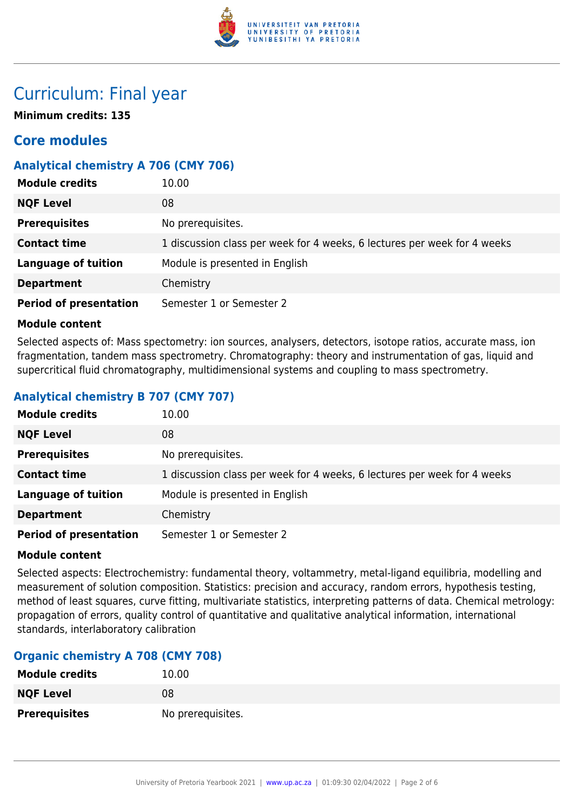

# Curriculum: Final year

**Minimum credits: 135**

### **Core modules**

#### **Analytical chemistry A 706 (CMY 706)**

| <b>Module credits</b>         | 10.00                                                                    |
|-------------------------------|--------------------------------------------------------------------------|
| <b>NQF Level</b>              | 08                                                                       |
| <b>Prerequisites</b>          | No prerequisites.                                                        |
| <b>Contact time</b>           | 1 discussion class per week for 4 weeks, 6 lectures per week for 4 weeks |
| <b>Language of tuition</b>    | Module is presented in English                                           |
| <b>Department</b>             | Chemistry                                                                |
| <b>Period of presentation</b> | Semester 1 or Semester 2                                                 |

#### **Module content**

Selected aspects of: Mass spectometry: ion sources, analysers, detectors, isotope ratios, accurate mass, ion fragmentation, tandem mass spectrometry. Chromatography: theory and instrumentation of gas, liquid and supercritical fluid chromatography, multidimensional systems and coupling to mass spectrometry.

### **Analytical chemistry B 707 (CMY 707)**

| <b>Module credits</b>         | 10.00                                                                    |
|-------------------------------|--------------------------------------------------------------------------|
| <b>NQF Level</b>              | 08                                                                       |
| <b>Prerequisites</b>          | No prerequisites.                                                        |
| <b>Contact time</b>           | 1 discussion class per week for 4 weeks, 6 lectures per week for 4 weeks |
| <b>Language of tuition</b>    | Module is presented in English                                           |
| <b>Department</b>             | Chemistry                                                                |
| <b>Period of presentation</b> | Semester 1 or Semester 2                                                 |

#### **Module content**

Selected aspects: Electrochemistry: fundamental theory, voltammetry, metal-ligand equilibria, modelling and measurement of solution composition. Statistics: precision and accuracy, random errors, hypothesis testing, method of least squares, curve fitting, multivariate statistics, interpreting patterns of data. Chemical metrology: propagation of errors, quality control of quantitative and qualitative analytical information, international standards, interlaboratory calibration

#### **Organic chemistry A 708 (CMY 708)**

| <b>Module credits</b> | 10.00             |
|-----------------------|-------------------|
| <b>NQF Level</b>      | 08                |
| <b>Prerequisites</b>  | No prerequisites. |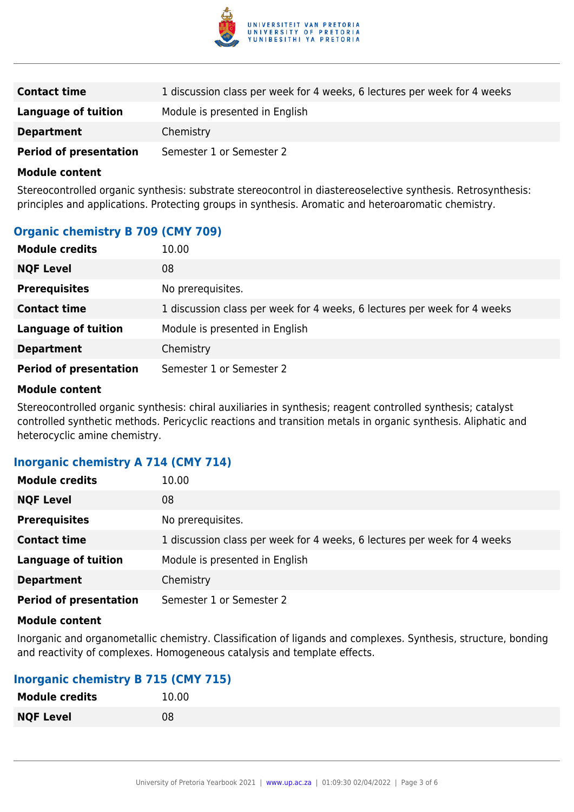

| <b>Contact time</b>           | 1 discussion class per week for 4 weeks, 6 lectures per week for 4 weeks |
|-------------------------------|--------------------------------------------------------------------------|
| Language of tuition           | Module is presented in English                                           |
| <b>Department</b>             | Chemistry                                                                |
| <b>Period of presentation</b> | Semester 1 or Semester 2                                                 |

#### **Module content**

Stereocontrolled organic synthesis: substrate stereocontrol in diastereoselective synthesis. Retrosynthesis: principles and applications. Protecting groups in synthesis. Aromatic and heteroaromatic chemistry.

#### **Organic chemistry B 709 (CMY 709)**

| <b>Module credits</b>         | 10.00                                                                    |
|-------------------------------|--------------------------------------------------------------------------|
| <b>NQF Level</b>              | 08                                                                       |
| <b>Prerequisites</b>          | No prerequisites.                                                        |
| <b>Contact time</b>           | 1 discussion class per week for 4 weeks, 6 lectures per week for 4 weeks |
| <b>Language of tuition</b>    | Module is presented in English                                           |
| <b>Department</b>             | Chemistry                                                                |
| <b>Period of presentation</b> | Semester 1 or Semester 2                                                 |

#### **Module content**

Stereocontrolled organic synthesis: chiral auxiliaries in synthesis; reagent controlled synthesis; catalyst controlled synthetic methods. Pericyclic reactions and transition metals in organic synthesis. Aliphatic and heterocyclic amine chemistry.

#### **Inorganic chemistry A 714 (CMY 714)**

| <b>Module credits</b>         | 10.00                                                                    |
|-------------------------------|--------------------------------------------------------------------------|
| <b>NQF Level</b>              | 08                                                                       |
| <b>Prerequisites</b>          | No prerequisites.                                                        |
| <b>Contact time</b>           | 1 discussion class per week for 4 weeks, 6 lectures per week for 4 weeks |
| <b>Language of tuition</b>    | Module is presented in English                                           |
| <b>Department</b>             | Chemistry                                                                |
| <b>Period of presentation</b> | Semester 1 or Semester 2                                                 |

#### **Module content**

Inorganic and organometallic chemistry. Classification of ligands and complexes. Synthesis, structure, bonding and reactivity of complexes. Homogeneous catalysis and template effects.

#### **Inorganic chemistry B 715 (CMY 715)**

| <b>Module credits</b> | 10.00 |
|-----------------------|-------|
| <b>NQF Level</b>      | 08    |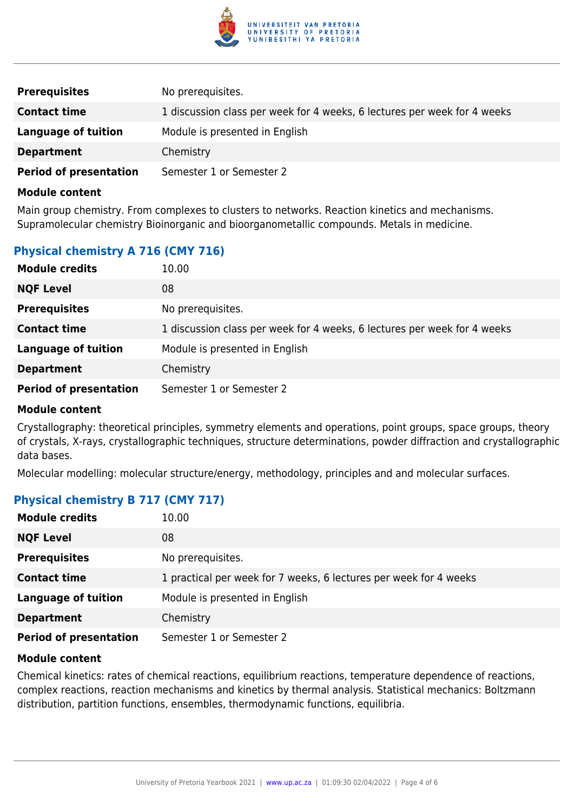

| <b>Prerequisites</b>          | No prerequisites.                                                        |
|-------------------------------|--------------------------------------------------------------------------|
| <b>Contact time</b>           | 1 discussion class per week for 4 weeks, 6 lectures per week for 4 weeks |
| Language of tuition           | Module is presented in English                                           |
| <b>Department</b>             | Chemistry                                                                |
| <b>Period of presentation</b> | Semester 1 or Semester 2                                                 |

#### **Module content**

Main group chemistry. From complexes to clusters to networks. Reaction kinetics and mechanisms. Supramolecular chemistry Bioinorganic and bioorganometallic compounds. Metals in medicine.

#### **Physical chemistry A 716 (CMY 716)**

| <b>Module credits</b>         | 10.00                                                                    |
|-------------------------------|--------------------------------------------------------------------------|
| <b>NQF Level</b>              | 08                                                                       |
| <b>Prerequisites</b>          | No prerequisites.                                                        |
| <b>Contact time</b>           | 1 discussion class per week for 4 weeks, 6 lectures per week for 4 weeks |
| <b>Language of tuition</b>    | Module is presented in English                                           |
| <b>Department</b>             | Chemistry                                                                |
| <b>Period of presentation</b> | Semester 1 or Semester 2                                                 |

#### **Module content**

Crystallography: theoretical principles, symmetry elements and operations, point groups, space groups, theory of crystals, X-rays, crystallographic techniques, structure determinations, powder diffraction and crystallographic data bases.

Molecular modelling: molecular structure/energy, methodology, principles and and molecular surfaces.

#### **Physical chemistry B 717 (CMY 717)**

| <b>Module credits</b>         | 10.00                                                             |
|-------------------------------|-------------------------------------------------------------------|
| <b>NQF Level</b>              | 08                                                                |
| <b>Prerequisites</b>          | No prerequisites.                                                 |
| <b>Contact time</b>           | 1 practical per week for 7 weeks, 6 lectures per week for 4 weeks |
| <b>Language of tuition</b>    | Module is presented in English                                    |
| <b>Department</b>             | Chemistry                                                         |
| <b>Period of presentation</b> | Semester 1 or Semester 2                                          |

#### **Module content**

Chemical kinetics: rates of chemical reactions, equilibrium reactions, temperature dependence of reactions, complex reactions, reaction mechanisms and kinetics by thermal analysis. Statistical mechanics: Boltzmann distribution, partition functions, ensembles, thermodynamic functions, equilibria.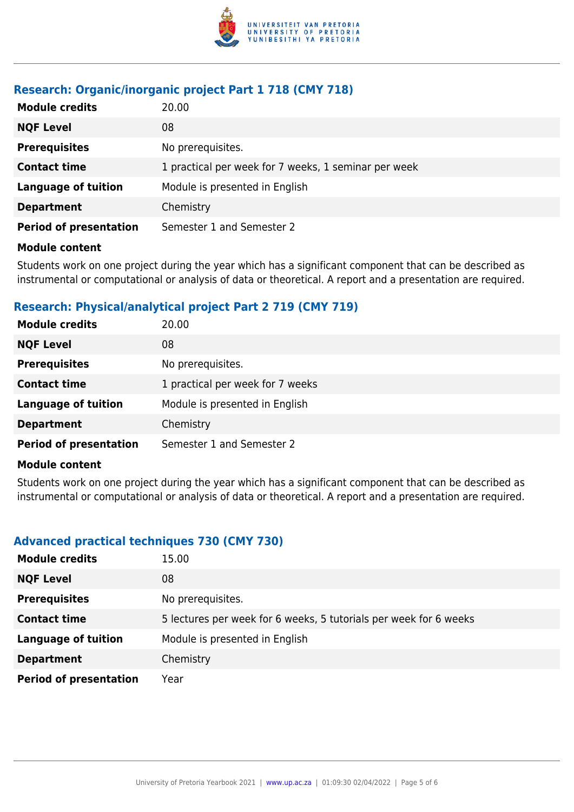

### **Research: Organic/inorganic project Part 1 718 (CMY 718)**

| <b>Module credits</b>         | 20.00                                                |
|-------------------------------|------------------------------------------------------|
| <b>NQF Level</b>              | 08                                                   |
| <b>Prerequisites</b>          | No prerequisites.                                    |
| <b>Contact time</b>           | 1 practical per week for 7 weeks, 1 seminar per week |
| <b>Language of tuition</b>    | Module is presented in English                       |
| <b>Department</b>             | Chemistry                                            |
| <b>Period of presentation</b> | Semester 1 and Semester 2                            |

#### **Module content**

Students work on one project during the year which has a significant component that can be described as instrumental or computational or analysis of data or theoretical. A report and a presentation are required.

### **Research: Physical/analytical project Part 2 719 (CMY 719)**

| <b>Module credits</b>         | 20.00                            |
|-------------------------------|----------------------------------|
| <b>NQF Level</b>              | 08                               |
| <b>Prerequisites</b>          | No prerequisites.                |
| <b>Contact time</b>           | 1 practical per week for 7 weeks |
| <b>Language of tuition</b>    | Module is presented in English   |
| <b>Department</b>             | Chemistry                        |
| <b>Period of presentation</b> | Semester 1 and Semester 2        |

#### **Module content**

Students work on one project during the year which has a significant component that can be described as instrumental or computational or analysis of data or theoretical. A report and a presentation are required.

### **Advanced practical techniques 730 (CMY 730)**

| <b>Module credits</b>         | 15.00                                                             |
|-------------------------------|-------------------------------------------------------------------|
| <b>NQF Level</b>              | 08                                                                |
| <b>Prerequisites</b>          | No prerequisites.                                                 |
| <b>Contact time</b>           | 5 lectures per week for 6 weeks, 5 tutorials per week for 6 weeks |
| <b>Language of tuition</b>    | Module is presented in English                                    |
| <b>Department</b>             | Chemistry                                                         |
| <b>Period of presentation</b> | Year                                                              |